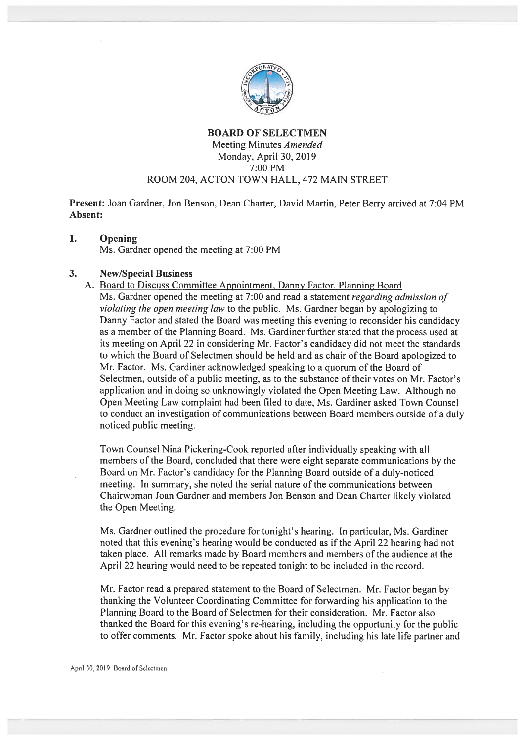

# BOARD OF SELECTMEN Meeting Minutes Amended Monday, April 30, 2019 7:00 PM ROOM 204, ACTON TOWN HALL, 472 MAIN STREET

Present: Joan Gardner, Jon Benson, Dean Charter, David Martin, Peter Berry arrived at 7:04 PM Absent:

#### $\mathbf{1}$ . Opening

Ms. Gardner opened the meeting at 7:00 PM

### 3. New/Special Business

A. Board to Discuss Committee Appointment. Danny Factor. Planning Board Ms. Gardner opened the meeting at 7:00 and read a statement *regarding admission of* violating the open meeting law to the public. Ms. Gardner began by apologizing to Danny Factor and stated the Board was meeting this evening to reconsider his candidacy as <sup>a</sup> member of the Planning Board. Ms. Gardiner further stated that the process used at its meeting on April 22 in considering Mr. Factor's candidacy' did not meet the standards to which the Board of Selectmen should be held and as chair of the Board apologized to Mr. Factor. Ms. Gardiner acknowledged speaking to <sup>a</sup> quorum of the Board of Selectmen, outside of <sup>a</sup> public meeting, as to the substance of their votes on Mr. Factor's application and in doing so unknowingly violated the Open Meeting Law. Although no Open Meeting Law complaint had been filed to date, Ms. Gardiner asked Town Counsel to conduct an investigation of communications between Board members outside of <sup>a</sup> duly noticed public meeting.

Town Counsel Nina Pickering-Cook reported after individually speaking with all members of the Board, concluded that there were eight separate communications by the Board on Mr. Factor's candidacy for the Planning Board outside of <sup>a</sup> duly-noticed meeting. In summary, she noted the serial nature of the communications between Chairwoman Joan Gardner and members Jon Benson and Dean Charter likely violated the Open Meeting.

Ms. Gardner outlined the procedure for tonight's hearing. In particular, Ms. Gardiner noted that this evening's hearing would be conducted as if the April <sup>22</sup> hearing had not taken place. All remarks made by Board members and members of the audience at the April 22 hearing would need to be repeated tonight to be included in the record.

Mr. factor read <sup>a</sup> prepare<sup>d</sup> statement to the Board of Selectmen. Mr. Factor began by thanking the Volunteer Coordinating Committee for forwarding his application to the Planning Board to the Board of Selectmen for their consideration. Mr. Factor also thanked the Board for this evening's re-hearing, including the opportunity for the public to offer comments. Mr. Factor spoke about his family, including his late life partner and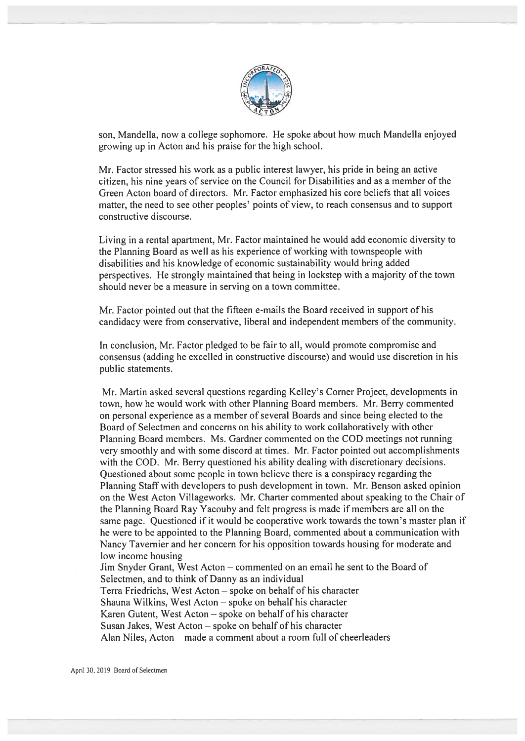

son, Mandella, now <sup>a</sup> college sophomore. He spoke about how much Mandella enjoyed growing up in Acton and his praise for the high school.

Mr. Factor stressed his work as <sup>a</sup> public interest lawyer, his pride in being an active citizen, his nine years of service on the Council for Disabilities and as <sup>a</sup> member of the Green Acton board of directors. Mr. Factor emphasized his core beliefs that all voices matter, the need to see other peoples' points of view, to reach consensus and to suppor<sup>t</sup> constructive discourse.

Living in <sup>a</sup> rental apartment, Mr. Factor maintained he would add economic diversity to the Planning Board as well as his experience of working with townspeople with disabilities and his knowledge of economic sustainability would bring added perspectives. He strongly maintained that being in lockstep with <sup>a</sup> majority of the town should never be <sup>a</sup> measure in serving on <sup>a</sup> town committee.

Mr. factor pointed out that the fifteen c-mails the Board received in suppor<sup>t</sup> of his candidacy were from conservative, liberal and independent members of the community.

In conclusion, Mr. Factor pledged to be fair to all, would promote compromise and consensus (adding he excelled in constructive discourse) and would use discretion in his public statements.

Mr. Martin asked several questions regarding Kelley's Corner Project, developments in town, how he would work with other Planning Board members. Mr. Berry commented on personal experience as <sup>a</sup> member of several Boards and since being elected to the Board of Selectmen and concerns on his ability to work coltaboratively with other Planning Board members. Ms. Gardner commented on the COD meetings not running very smoothly and with some discord at times. Mr. Factor pointed out accomplishments with the COD. Mr. Berry questioned his ability dealing with discretionary decisions. Questioned about some people in town believe there is <sup>a</sup> conspiracy regarding the Planning Staff with developers to push development in town. Mr. Benson asked opinion on the West Acton Villageworks. Mr. Charter commented about speaking to the Chair of the Planning Board Ray Yacouby and felt progress is made if members are all on the same page. Questioned if it would be cooperative work towards the town's master plan if he were to be appointed to the Planning Board, commented about <sup>a</sup> communication with Nancy Tavernier and her concern for his opposition towards housing for moderate and low income housing

Jim Snyder Grant, West Acton — commented on an email he sent to the Board of Selectmen, and to think of Danny as an individual Terra Friedrichs, West Acton — spoke on behalf of his character Shauna Wilkins, West Acton — spoke on behalf his character Karen Gutent, West Acton — spoke on behalf of his character Susan Jakes, West Acton — spoke on behalf of his character Alan Niles, Acton — made <sup>a</sup> comment about <sup>a</sup> room full of cheerleaders